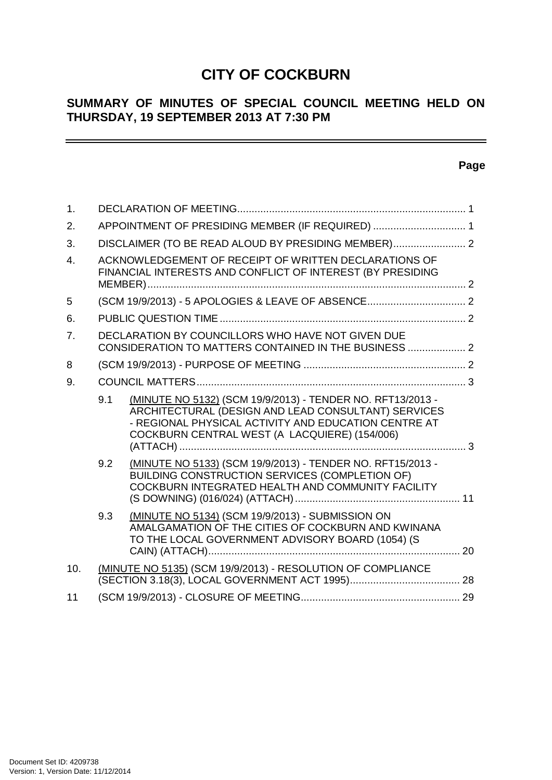# **CITY OF COCKBURN**

# **SUMMARY OF MINUTES OF SPECIAL COUNCIL MEETING HELD ON THURSDAY, 19 SEPTEMBER 2013 AT 7:30 PM**

# **Page**

 $\overline{\phantom{0}}$ 

| 1.               |     |                                                                                                                                                                                                                            |  |
|------------------|-----|----------------------------------------------------------------------------------------------------------------------------------------------------------------------------------------------------------------------------|--|
| 2.               |     | APPOINTMENT OF PRESIDING MEMBER (IF REQUIRED)  1                                                                                                                                                                           |  |
| 3.               |     | DISCLAIMER (TO BE READ ALOUD BY PRESIDING MEMBER) 2                                                                                                                                                                        |  |
| $\overline{4}$ . |     | ACKNOWLEDGEMENT OF RECEIPT OF WRITTEN DECLARATIONS OF<br>FINANCIAL INTERESTS AND CONFLICT OF INTEREST (BY PRESIDING                                                                                                        |  |
| 5                |     |                                                                                                                                                                                                                            |  |
| 6.               |     |                                                                                                                                                                                                                            |  |
| 7 <sub>1</sub>   |     | DECLARATION BY COUNCILLORS WHO HAVE NOT GIVEN DUE<br>CONSIDERATION TO MATTERS CONTAINED IN THE BUSINESS  2                                                                                                                 |  |
| 8                |     |                                                                                                                                                                                                                            |  |
| 9.               |     |                                                                                                                                                                                                                            |  |
|                  | 9.1 | (MINUTE NO 5132) (SCM 19/9/2013) - TENDER NO. RFT13/2013 -<br>ARCHITECTURAL (DESIGN AND LEAD CONSULTANT) SERVICES<br>- REGIONAL PHYSICAL ACTIVITY AND EDUCATION CENTRE AT<br>COCKBURN CENTRAL WEST (A LACQUIERE) (154/006) |  |
|                  | 9.2 | (MINUTE NO 5133) (SCM 19/9/2013) - TENDER NO. RFT15/2013 -<br>BUILDING CONSTRUCTION SERVICES (COMPLETION OF)<br>COCKBURN INTEGRATED HEALTH AND COMMUNITY FACILITY                                                          |  |
|                  | 9.3 | (MINUTE NO 5134) (SCM 19/9/2013) - SUBMISSION ON<br>AMALGAMATION OF THE CITIES OF COCKBURN AND KWINANA<br>TO THE LOCAL GOVERNMENT ADVISORY BOARD (1054) (S<br>. 20                                                         |  |
| 10.              |     | (MINUTE NO 5135) (SCM 19/9/2013) - RESOLUTION OF COMPLIANCE                                                                                                                                                                |  |
| 11               |     |                                                                                                                                                                                                                            |  |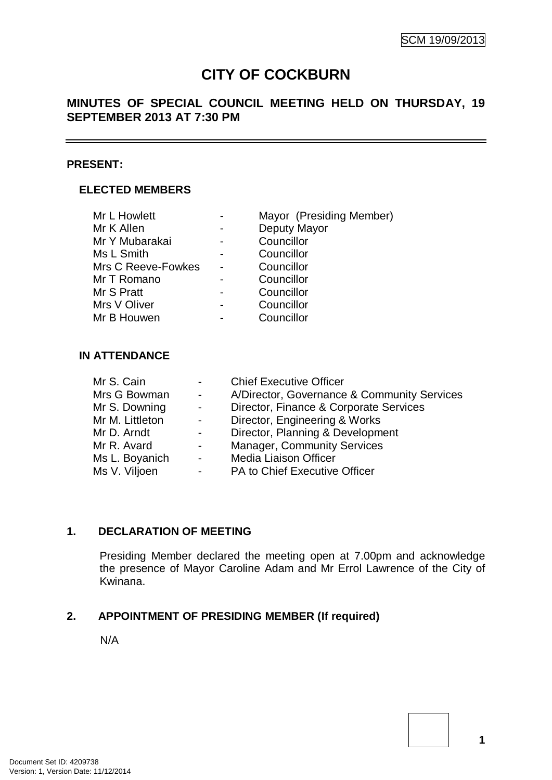# **CITY OF COCKBURN**

# **MINUTES OF SPECIAL COUNCIL MEETING HELD ON THURSDAY, 19 SEPTEMBER 2013 AT 7:30 PM**

### **PRESENT:**

### **ELECTED MEMBERS**

| Mayor (Presiding Member) |
|--------------------------|
| Deputy Mayor             |
| Councillor               |
| Councillor               |
| Councillor               |
| Councillor               |
| Councillor               |
| Councillor               |
| Councillor               |
|                          |

### **IN ATTENDANCE**

| Mr S. Cain      | $\sim 100$                | <b>Chief Executive Officer</b>              |
|-----------------|---------------------------|---------------------------------------------|
| Mrs G Bowman    | $\sim 100$                | A/Director, Governance & Community Services |
| Mr S. Downing   | $\sim$ $-$                | Director, Finance & Corporate Services      |
| Mr M. Littleton | $\sim 100$                | Director, Engineering & Works               |
| Mr D. Arndt     | $\sim 100$                | Director, Planning & Development            |
| Mr R. Avard     | $\sim 100$                | <b>Manager, Community Services</b>          |
| Ms L. Boyanich  | $\sim 10^{-10}$ m $^{-1}$ | <b>Media Liaison Officer</b>                |
| Ms V. Viljoen   | $\sim 100$                | PA to Chief Executive Officer               |
|                 |                           |                                             |

### **1. DECLARATION OF MEETING**

Presiding Member declared the meeting open at 7.00pm and acknowledge the presence of Mayor Caroline Adam and Mr Errol Lawrence of the City of Kwinana.

# **2. APPOINTMENT OF PRESIDING MEMBER (If required)**

N/A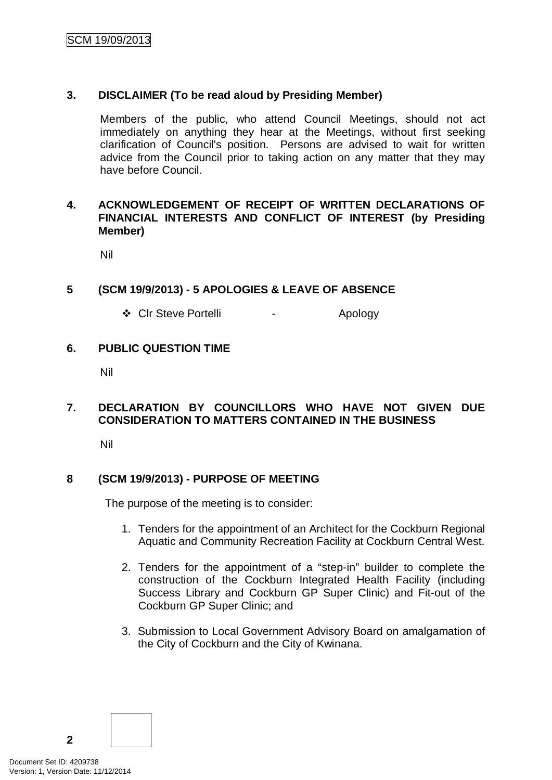### **3. DISCLAIMER (To be read aloud by Presiding Member)**

Members of the public, who attend Council Meetings, should not act immediately on anything they hear at the Meetings, without first seeking clarification of Council's position. Persons are advised to wait for written advice from the Council prior to taking action on any matter that they may have before Council.

### **4. ACKNOWLEDGEMENT OF RECEIPT OF WRITTEN DECLARATIONS OF FINANCIAL INTERESTS AND CONFLICT OF INTEREST (by Presiding Member)**

Nil

# **5 (SCM 19/9/2013) - 5 APOLOGIES & LEAVE OF ABSENCE**

❖ CIr Steve Portelli - Apology

# **6. PUBLIC QUESTION TIME**

Nil

### **7. DECLARATION BY COUNCILLORS WHO HAVE NOT GIVEN DUE CONSIDERATION TO MATTERS CONTAINED IN THE BUSINESS**

Nil

### **8 (SCM 19/9/2013) - PURPOSE OF MEETING**

The purpose of the meeting is to consider:

- 1. Tenders for the appointment of an Architect for the Cockburn Regional Aquatic and Community Recreation Facility at Cockburn Central West.
- 2. Tenders for the appointment of a "step-in" builder to complete the construction of the Cockburn Integrated Health Facility (including Success Library and Cockburn GP Super Clinic) and Fit-out of the Cockburn GP Super Clinic; and
- 3. Submission to Local Government Advisory Board on amalgamation of the City of Cockburn and the City of Kwinana.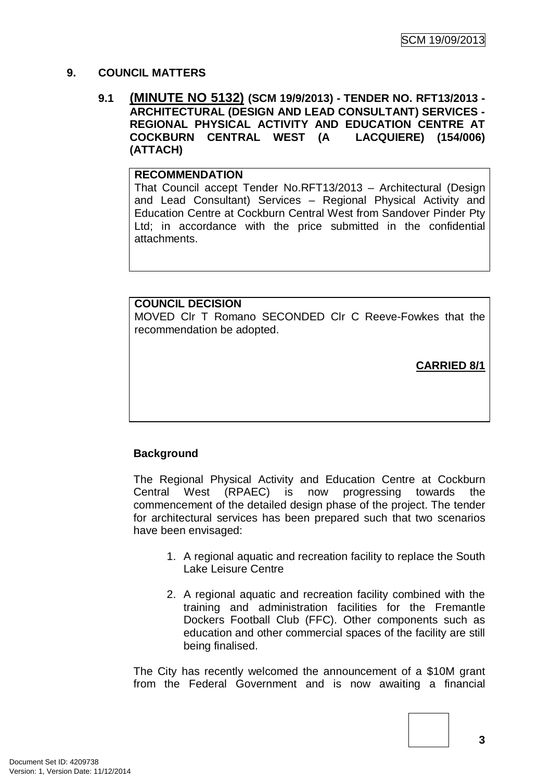### **9. COUNCIL MATTERS**

### **9.1 (MINUTE NO 5132) (SCM 19/9/2013) - TENDER NO. RFT13/2013 - ARCHITECTURAL (DESIGN AND LEAD CONSULTANT) SERVICES - REGIONAL PHYSICAL ACTIVITY AND EDUCATION CENTRE AT COCKBURN CENTRAL WEST (A (ATTACH)**

# **RECOMMENDATION**

That Council accept Tender No.RFT13/2013 – Architectural (Design and Lead Consultant) Services – Regional Physical Activity and Education Centre at Cockburn Central West from Sandover Pinder Pty Ltd; in accordance with the price submitted in the confidential attachments.

# **COUNCIL DECISION**

MOVED Clr T Romano SECONDED Clr C Reeve-Fowkes that the recommendation be adopted.

**CARRIED 8/1**

# **Background**

The Regional Physical Activity and Education Centre at Cockburn Central West (RPAEC) is now progressing towards the commencement of the detailed design phase of the project. The tender for architectural services has been prepared such that two scenarios have been envisaged:

- 1. A regional aquatic and recreation facility to replace the South Lake Leisure Centre
- 2. A regional aquatic and recreation facility combined with the training and administration facilities for the Fremantle Dockers Football Club (FFC). Other components such as education and other commercial spaces of the facility are still being finalised.

The City has recently welcomed the announcement of a \$10M grant from the Federal Government and is now awaiting a financial

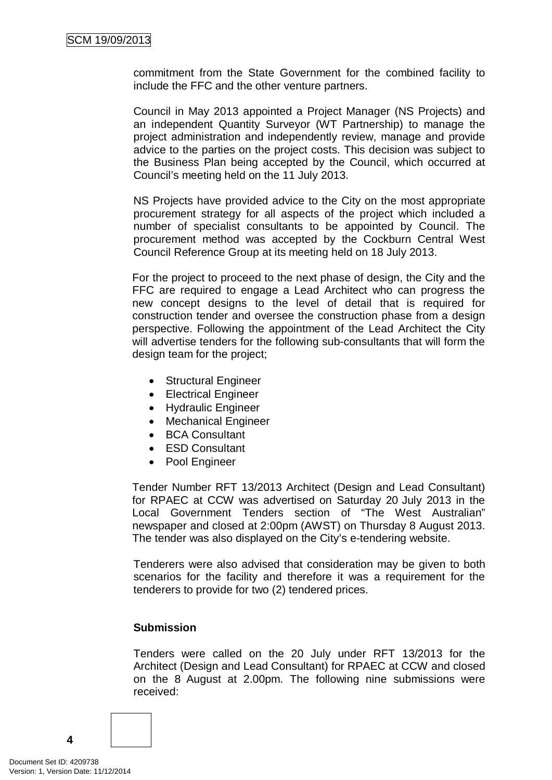commitment from the State Government for the combined facility to include the FFC and the other venture partners.

Council in May 2013 appointed a Project Manager (NS Projects) and an independent Quantity Surveyor (WT Partnership) to manage the project administration and independently review, manage and provide advice to the parties on the project costs. This decision was subject to the Business Plan being accepted by the Council, which occurred at Council's meeting held on the 11 July 2013.

NS Projects have provided advice to the City on the most appropriate procurement strategy for all aspects of the project which included a number of specialist consultants to be appointed by Council. The procurement method was accepted by the Cockburn Central West Council Reference Group at its meeting held on 18 July 2013.

For the project to proceed to the next phase of design, the City and the FFC are required to engage a Lead Architect who can progress the new concept designs to the level of detail that is required for construction tender and oversee the construction phase from a design perspective. Following the appointment of the Lead Architect the City will advertise tenders for the following sub-consultants that will form the design team for the project;

- Structural Engineer
- Electrical Engineer
- Hydraulic Engineer
- Mechanical Engineer
- BCA Consultant
- ESD Consultant
- Pool Engineer

Tender Number RFT 13/2013 Architect (Design and Lead Consultant) for RPAEC at CCW was advertised on Saturday 20 July 2013 in the Local Government Tenders section of "The West Australian" newspaper and closed at 2:00pm (AWST) on Thursday 8 August 2013. The tender was also displayed on the City's e-tendering website.

Tenderers were also advised that consideration may be given to both scenarios for the facility and therefore it was a requirement for the tenderers to provide for two (2) tendered prices.

### **Submission**

Tenders were called on the 20 July under RFT 13/2013 for the Architect (Design and Lead Consultant) for RPAEC at CCW and closed on the 8 August at 2.00pm. The following nine submissions were received:

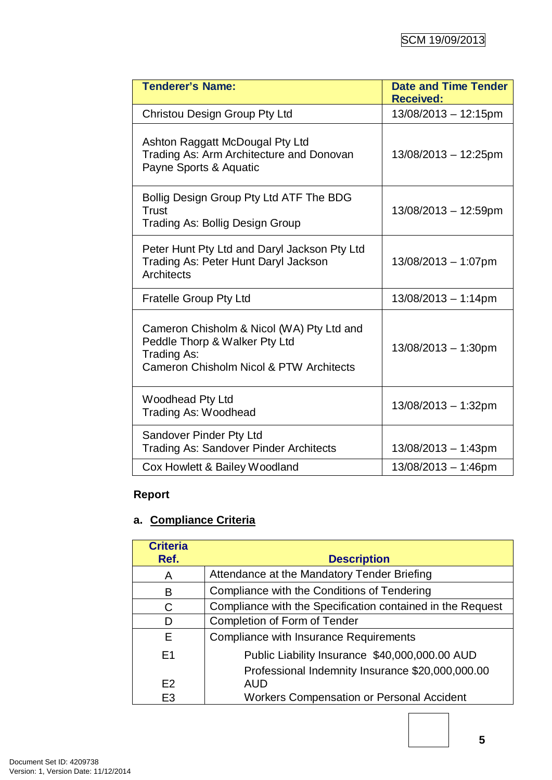| <b>Tenderer's Name:</b>                                                                                                              | <b>Date and Time Tender</b><br><b>Received:</b> |
|--------------------------------------------------------------------------------------------------------------------------------------|-------------------------------------------------|
| Christou Design Group Pty Ltd                                                                                                        | 13/08/2013 - 12:15pm                            |
| Ashton Raggatt McDougal Pty Ltd<br>Trading As: Arm Architecture and Donovan<br>Payne Sports & Aquatic                                | 13/08/2013 - 12:25pm                            |
| Bollig Design Group Pty Ltd ATF The BDG<br>Trust<br><b>Trading As: Bollig Design Group</b>                                           | 13/08/2013 - 12:59pm                            |
| Peter Hunt Pty Ltd and Daryl Jackson Pty Ltd<br>Trading As: Peter Hunt Daryl Jackson<br><b>Architects</b>                            | 13/08/2013 - 1:07pm                             |
| <b>Fratelle Group Pty Ltd</b>                                                                                                        | $13/08/2013 - 1:14pm$                           |
| Cameron Chisholm & Nicol (WA) Pty Ltd and<br>Peddle Thorp & Walker Pty Ltd<br>Trading As:<br>Cameron Chisholm Nicol & PTW Architects | $13/08/2013 - 1:30$ pm                          |
| <b>Woodhead Pty Ltd</b><br><b>Trading As: Woodhead</b>                                                                               | 13/08/2013 - 1:32pm                             |
| Sandover Pinder Pty Ltd<br><b>Trading As: Sandover Pinder Architects</b>                                                             | 13/08/2013 - 1:43pm                             |
| Cox Howlett & Bailey Woodland                                                                                                        | 13/08/2013 - 1:46pm                             |

# **Report**

# **a. Compliance Criteria**

| <b>Criteria</b><br>Ref. | <b>Description</b>                                         |
|-------------------------|------------------------------------------------------------|
| A                       | Attendance at the Mandatory Tender Briefing                |
| В                       | Compliance with the Conditions of Tendering                |
| C                       | Compliance with the Specification contained in the Request |
| D                       | Completion of Form of Tender                               |
| F.                      | <b>Compliance with Insurance Requirements</b>              |
| E <sub>1</sub>          | Public Liability Insurance \$40,000,000.00 AUD             |
|                         | Professional Indemnity Insurance \$20,000,000.00           |
| E <sub>2</sub>          | <b>AUD</b>                                                 |
| E <sub>3</sub>          | <b>Workers Compensation or Personal Accident</b>           |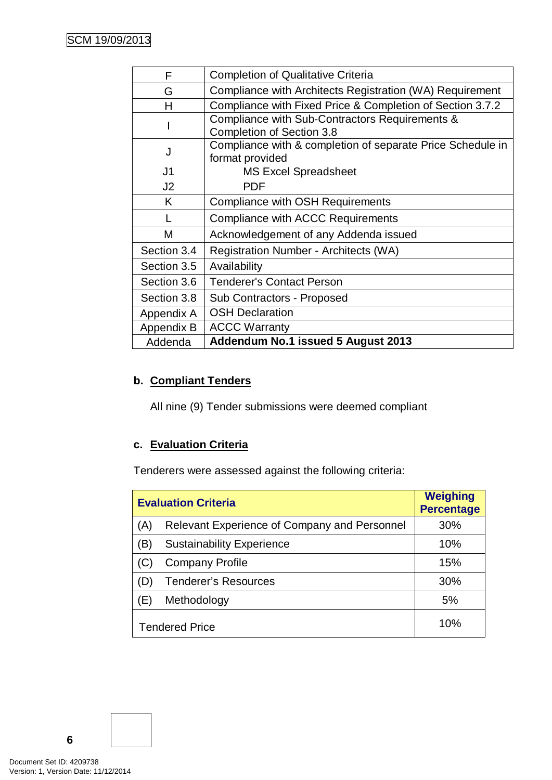| F              | <b>Completion of Qualitative Criteria</b>                  |
|----------------|------------------------------------------------------------|
| G              | Compliance with Architects Registration (WA) Requirement   |
| н              | Compliance with Fixed Price & Completion of Section 3.7.2  |
|                | Compliance with Sub-Contractors Requirements &             |
|                | <b>Completion of Section 3.8</b>                           |
| J              | Compliance with & completion of separate Price Schedule in |
|                | format provided                                            |
| J <sub>1</sub> | <b>MS Excel Spreadsheet</b>                                |
| J <sub>2</sub> | <b>PDF</b>                                                 |
| K              | <b>Compliance with OSH Requirements</b>                    |
|                | Compliance with ACCC Requirements                          |
| M              | Acknowledgement of any Addenda issued                      |
| Section 3.4    | Registration Number - Architects (WA)                      |
| Section 3.5    | Availability                                               |
| Section 3.6    | <b>Tenderer's Contact Person</b>                           |
| Section 3.8    | <b>Sub Contractors - Proposed</b>                          |
| Appendix A     | <b>OSH Declaration</b>                                     |
| Appendix B     | <b>ACCC Warranty</b>                                       |
| Addenda        | Addendum No.1 issued 5 August 2013                         |

# **b. Compliant Tenders**

All nine (9) Tender submissions were deemed compliant

# **c. Evaluation Criteria**

Tenderers were assessed against the following criteria:

| <b>Evaluation Criteria</b> | <b>Weighing</b><br><b>Percentage</b>         |     |
|----------------------------|----------------------------------------------|-----|
| (A)                        | Relevant Experience of Company and Personnel | 30% |
| B)                         | <b>Sustainability Experience</b>             | 10% |
|                            | <b>Company Profile</b>                       | 15% |
| D                          | <b>Tenderer's Resources</b>                  | 30% |
| Έ)                         | Methodology                                  | 5%  |
| <b>Tendered Price</b>      |                                              | 10% |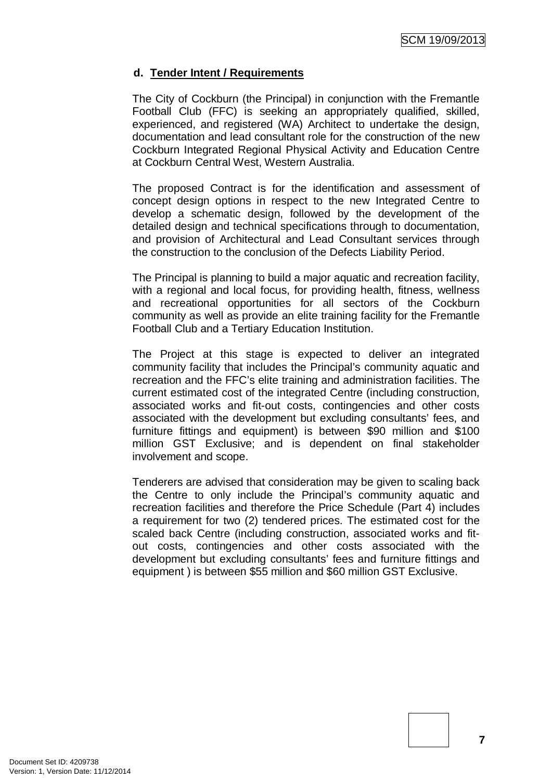### **d. Tender Intent / Requirements**

The City of Cockburn (the Principal) in conjunction with the Fremantle Football Club (FFC) is seeking an appropriately qualified, skilled, experienced, and registered (WA) Architect to undertake the design, documentation and lead consultant role for the construction of the new Cockburn Integrated Regional Physical Activity and Education Centre at Cockburn Central West, Western Australia.

The proposed Contract is for the identification and assessment of concept design options in respect to the new Integrated Centre to develop a schematic design, followed by the development of the detailed design and technical specifications through to documentation, and provision of Architectural and Lead Consultant services through the construction to the conclusion of the Defects Liability Period.

The Principal is planning to build a major aquatic and recreation facility, with a regional and local focus, for providing health, fitness, wellness and recreational opportunities for all sectors of the Cockburn community as well as provide an elite training facility for the Fremantle Football Club and a Tertiary Education Institution.

The Project at this stage is expected to deliver an integrated community facility that includes the Principal's community aquatic and recreation and the FFC's elite training and administration facilities. The current estimated cost of the integrated Centre (including construction, associated works and fit-out costs, contingencies and other costs associated with the development but excluding consultants' fees, and furniture fittings and equipment) is between \$90 million and \$100 million GST Exclusive; and is dependent on final stakeholder involvement and scope.

Tenderers are advised that consideration may be given to scaling back the Centre to only include the Principal's community aquatic and recreation facilities and therefore the Price Schedule (Part 4) includes a requirement for two (2) tendered prices. The estimated cost for the scaled back Centre (including construction, associated works and fitout costs, contingencies and other costs associated with the development but excluding consultants' fees and furniture fittings and equipment ) is between \$55 million and \$60 million GST Exclusive.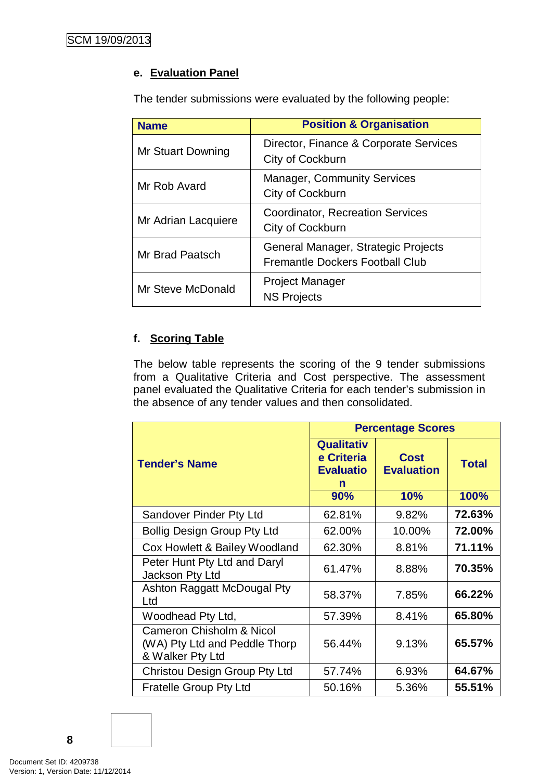# **e. Evaluation Panel**

The tender submissions were evaluated by the following people:

| <b>Name</b>         | <b>Position &amp; Organisation</b>                                            |
|---------------------|-------------------------------------------------------------------------------|
| Mr Stuart Downing   | Director, Finance & Corporate Services<br>City of Cockburn                    |
| Mr Rob Avard        | <b>Manager, Community Services</b><br>City of Cockburn                        |
| Mr Adrian Lacquiere | <b>Coordinator, Recreation Services</b><br>City of Cockburn                   |
| Mr Brad Paatsch     | General Manager, Strategic Projects<br><b>Fremantle Dockers Football Club</b> |
| Mr Steve McDonald   | <b>Project Manager</b><br><b>NS Projects</b>                                  |

# **f. Scoring Table**

The below table represents the scoring of the 9 tender submissions from a Qualitative Criteria and Cost perspective. The assessment panel evaluated the Qualitative Criteria for each tender's submission in the absence of any tender values and then consolidated.

|                                                                                          | <b>Percentage Scores</b>                                        |                                         |                      |
|------------------------------------------------------------------------------------------|-----------------------------------------------------------------|-----------------------------------------|----------------------|
| <b>Tender's Name</b>                                                                     | <b>Qualitativ</b><br>e Criteria<br><b>Evaluatio</b><br>n<br>90% | <b>Cost</b><br><b>Evaluation</b><br>10% | <b>Total</b><br>100% |
|                                                                                          |                                                                 |                                         |                      |
| Sandover Pinder Pty Ltd                                                                  | 62.81%                                                          | 9.82%                                   | 72.63%               |
| <b>Bollig Design Group Pty Ltd</b>                                                       | 62.00%                                                          | 10.00%                                  | 72.00%               |
| Cox Howlett & Bailey Woodland                                                            | 62.30%                                                          | 8.81%                                   | 71.11%               |
| Peter Hunt Pty Ltd and Daryl<br>Jackson Pty Ltd                                          | 61.47%                                                          | 8.88%                                   | 70.35%               |
| Ashton Raggatt McDougal Pty<br>Ltd                                                       | 58.37%                                                          | 7.85%                                   | 66.22%               |
| Woodhead Pty Ltd,                                                                        | 57.39%                                                          | 8.41%                                   | 65.80%               |
| <b>Cameron Chisholm &amp; Nicol</b><br>(WA) Pty Ltd and Peddle Thorp<br>& Walker Pty Ltd | 56.44%                                                          | 9.13%                                   | 65.57%               |
| Christou Design Group Pty Ltd                                                            | 57.74%                                                          | 6.93%                                   | 64.67%               |
| <b>Fratelle Group Pty Ltd</b>                                                            | 50.16%                                                          | 5.36%                                   | 55.51%               |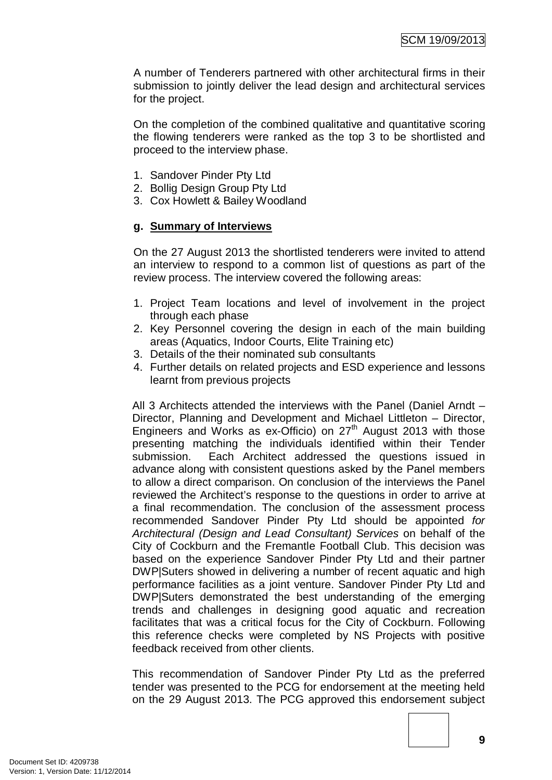A number of Tenderers partnered with other architectural firms in their submission to jointly deliver the lead design and architectural services for the project.

On the completion of the combined qualitative and quantitative scoring the flowing tenderers were ranked as the top 3 to be shortlisted and proceed to the interview phase.

- 1. Sandover Pinder Pty Ltd
- 2. Bollig Design Group Pty Ltd
- 3. Cox Howlett & Bailey Woodland

# **g. Summary of Interviews**

On the 27 August 2013 the shortlisted tenderers were invited to attend an interview to respond to a common list of questions as part of the review process. The interview covered the following areas:

- 1. Project Team locations and level of involvement in the project through each phase
- 2. Key Personnel covering the design in each of the main building areas (Aquatics, Indoor Courts, Elite Training etc)
- 3. Details of the their nominated sub consultants
- 4. Further details on related projects and ESD experience and lessons learnt from previous projects

All 3 Architects attended the interviews with the Panel (Daniel Arndt – Director, Planning and Development and Michael Littleton – Director, Engineers and Works as  $ex\text{-}Officio$  on  $27<sup>th</sup>$  August 2013 with those presenting matching the individuals identified within their Tender submission. Each Architect addressed the questions issued in advance along with consistent questions asked by the Panel members to allow a direct comparison. On conclusion of the interviews the Panel reviewed the Architect's response to the questions in order to arrive at a final recommendation. The conclusion of the assessment process recommended Sandover Pinder Pty Ltd should be appointed *for Architectural (Design and Lead Consultant) Services* on behalf of the City of Cockburn and the Fremantle Football Club. This decision was based on the experience Sandover Pinder Pty Ltd and their partner DWP|Suters showed in delivering a number of recent aquatic and high performance facilities as a joint venture. Sandover Pinder Pty Ltd and DWP|Suters demonstrated the best understanding of the emerging trends and challenges in designing good aquatic and recreation facilitates that was a critical focus for the City of Cockburn. Following this reference checks were completed by NS Projects with positive feedback received from other clients.

This recommendation of Sandover Pinder Pty Ltd as the preferred tender was presented to the PCG for endorsement at the meeting held on the 29 August 2013. The PCG approved this endorsement subject

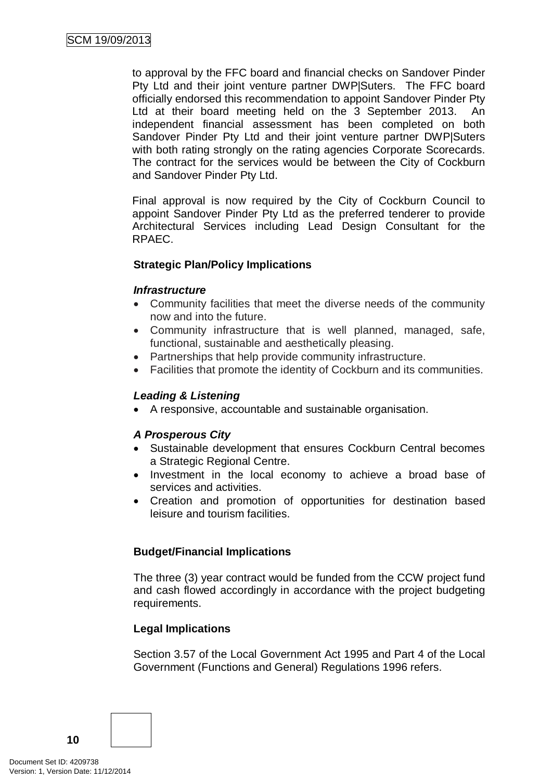to approval by the FFC board and financial checks on Sandover Pinder Pty Ltd and their joint venture partner DWP|Suters. The FFC board officially endorsed this recommendation to appoint Sandover Pinder Pty Ltd at their board meeting held on the 3 September 2013. An independent financial assessment has been completed on both Sandover Pinder Pty Ltd and their joint venture partner DWP|Suters with both rating strongly on the rating agencies Corporate Scorecards. The contract for the services would be between the City of Cockburn and Sandover Pinder Pty Ltd.

Final approval is now required by the City of Cockburn Council to appoint Sandover Pinder Pty Ltd as the preferred tenderer to provide Architectural Services including Lead Design Consultant for the RPAEC.

# **Strategic Plan/Policy Implications**

#### *Infrastructure*

- Community facilities that meet the diverse needs of the community now and into the future.
- Community infrastructure that is well planned, managed, safe, functional, sustainable and aesthetically pleasing.
- Partnerships that help provide community infrastructure.
- Facilities that promote the identity of Cockburn and its communities.

#### *Leading & Listening*

• A responsive, accountable and sustainable organisation.

### *A Prosperous City*

- Sustainable development that ensures Cockburn Central becomes a Strategic Regional Centre.
- Investment in the local economy to achieve a broad base of services and activities.
- Creation and promotion of opportunities for destination based leisure and tourism facilities.

### **Budget/Financial Implications**

The three (3) year contract would be funded from the CCW project fund and cash flowed accordingly in accordance with the project budgeting requirements.

### **Legal Implications**

Section 3.57 of the Local Government Act 1995 and Part 4 of the Local Government (Functions and General) Regulations 1996 refers.

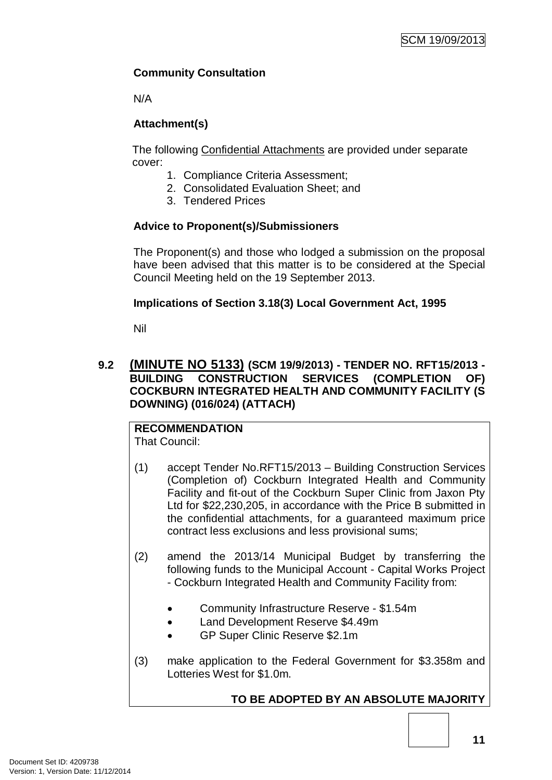# **Community Consultation**

N/A

# **Attachment(s)**

The following Confidential Attachments are provided under separate cover:

- 1. Compliance Criteria Assessment;
- 2. Consolidated Evaluation Sheet; and
- 3. Tendered Prices

# **Advice to Proponent(s)/Submissioners**

The Proponent(s) and those who lodged a submission on the proposal have been advised that this matter is to be considered at the Special Council Meeting held on the 19 September 2013.

# **Implications of Section 3.18(3) Local Government Act, 1995**

Nil

# **9.2 (MINUTE NO 5133) (SCM 19/9/2013) - TENDER NO. RFT15/2013 - BUILDING CONSTRUCTION SERVICES (COMPLETION OF) COCKBURN INTEGRATED HEALTH AND COMMUNITY FACILITY (S DOWNING) (016/024) (ATTACH)**

# **RECOMMENDATION**

That Council:

- (1) accept Tender No.RFT15/2013 Building Construction Services (Completion of) Cockburn Integrated Health and Community Facility and fit-out of the Cockburn Super Clinic from Jaxon Pty Ltd for \$22,230,205, in accordance with the Price B submitted in the confidential attachments, for a guaranteed maximum price contract less exclusions and less provisional sums;
- (2) amend the 2013/14 Municipal Budget by transferring the following funds to the Municipal Account - Capital Works Project - Cockburn Integrated Health and Community Facility from:
	- Community Infrastructure Reserve \$1.54m
	- Land Development Reserve \$4.49m
	- GP Super Clinic Reserve \$2.1m
- (3) make application to the Federal Government for \$3.358m and Lotteries West for \$1.0m.

# **TO BE ADOPTED BY AN ABSOLUTE MAJORITY**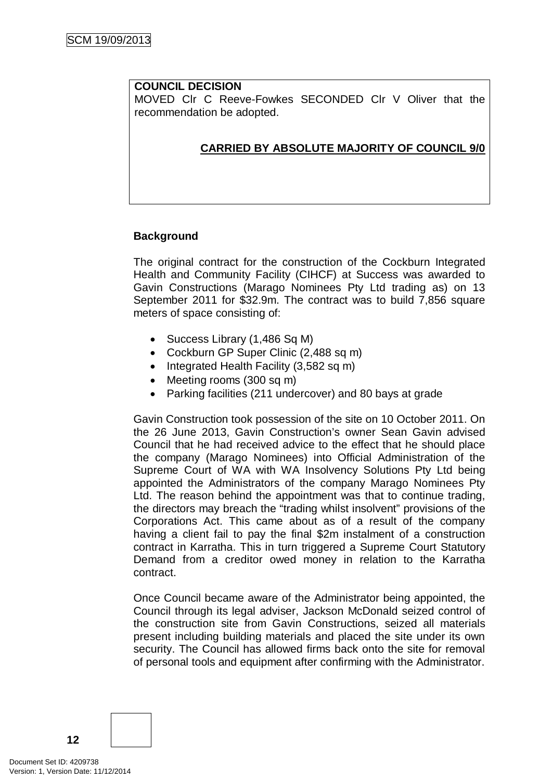#### **COUNCIL DECISION**

MOVED Clr C Reeve-Fowkes SECONDED Clr V Oliver that the recommendation be adopted.

# **CARRIED BY ABSOLUTE MAJORITY OF COUNCIL 9/0**

### **Background**

The original contract for the construction of the Cockburn Integrated Health and Community Facility (CIHCF) at Success was awarded to Gavin Constructions (Marago Nominees Pty Ltd trading as) on 13 September 2011 for \$32.9m. The contract was to build 7,856 square meters of space consisting of:

- Success Library (1,486 Sq M)
- Cockburn GP Super Clinic (2,488 sq m)
- Integrated Health Facility (3,582 sq m)
- Meeting rooms (300 sq m)
- Parking facilities (211 undercover) and 80 bays at grade

Gavin Construction took possession of the site on 10 October 2011. On the 26 June 2013, Gavin Construction's owner Sean Gavin advised Council that he had received advice to the effect that he should place the company (Marago Nominees) into Official Administration of the Supreme Court of WA with WA Insolvency Solutions Pty Ltd being appointed the Administrators of the company Marago Nominees Pty Ltd. The reason behind the appointment was that to continue trading, the directors may breach the "trading whilst insolvent" provisions of the Corporations Act. This came about as of a result of the company having a client fail to pay the final \$2m instalment of a construction contract in Karratha. This in turn triggered a Supreme Court Statutory Demand from a creditor owed money in relation to the Karratha contract.

Once Council became aware of the Administrator being appointed, the Council through its legal adviser, Jackson McDonald seized control of the construction site from Gavin Constructions, seized all materials present including building materials and placed the site under its own security. The Council has allowed firms back onto the site for removal of personal tools and equipment after confirming with the Administrator.

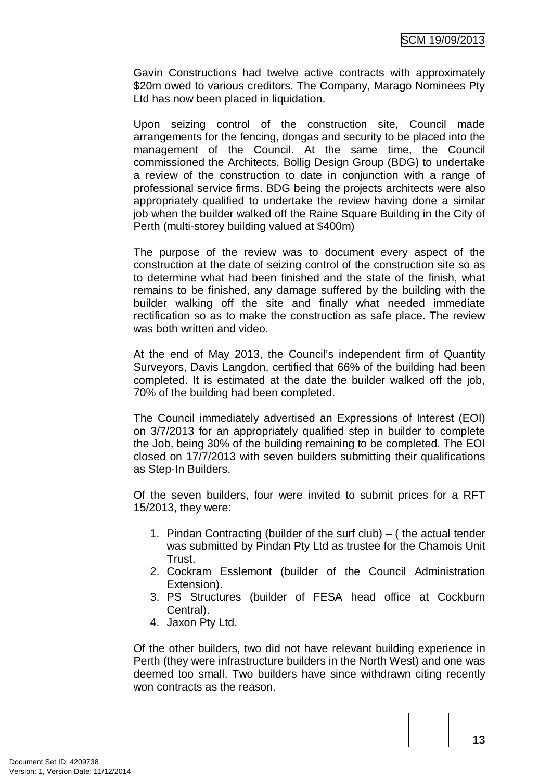Gavin Constructions had twelve active contracts with approximately \$20m owed to various creditors. The Company, Marago Nominees Pty Ltd has now been placed in liquidation.

Upon seizing control of the construction site, Council made arrangements for the fencing, dongas and security to be placed into the management of the Council. At the same time, the Council commissioned the Architects, Bollig Design Group (BDG) to undertake a review of the construction to date in conjunction with a range of professional service firms. BDG being the projects architects were also appropriately qualified to undertake the review having done a similar job when the builder walked off the Raine Square Building in the City of Perth (multi-storey building valued at \$400m)

The purpose of the review was to document every aspect of the construction at the date of seizing control of the construction site so as to determine what had been finished and the state of the finish, what remains to be finished, any damage suffered by the building with the builder walking off the site and finally what needed immediate rectification so as to make the construction as safe place. The review was both written and video.

At the end of May 2013, the Council's independent firm of Quantity Surveyors, Davis Langdon, certified that 66% of the building had been completed. It is estimated at the date the builder walked off the job, 70% of the building had been completed.

The Council immediately advertised an Expressions of Interest (EOI) on 3/7/2013 for an appropriately qualified step in builder to complete the Job, being 30% of the building remaining to be completed. The EOI closed on 17/7/2013 with seven builders submitting their qualifications as Step-In Builders.

Of the seven builders, four were invited to submit prices for a RFT 15/2013, they were:

- 1. Pindan Contracting (builder of the surf club) ( the actual tender was submitted by Pindan Pty Ltd as trustee for the Chamois Unit Trust.
- 2. Cockram Esslemont (builder of the Council Administration Extension).
- 3. PS Structures (builder of FESA head office at Cockburn Central).
- 4. Jaxon Pty Ltd.

Of the other builders, two did not have relevant building experience in Perth (they were infrastructure builders in the North West) and one was deemed too small. Two builders have since withdrawn citing recently won contracts as the reason

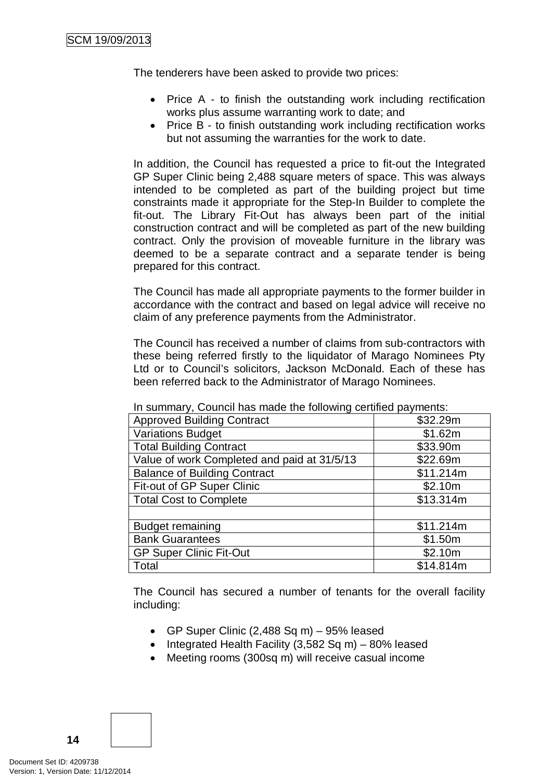The tenderers have been asked to provide two prices:

- Price A to finish the outstanding work including rectification works plus assume warranting work to date; and
- Price B to finish outstanding work including rectification works but not assuming the warranties for the work to date.

In addition, the Council has requested a price to fit-out the Integrated GP Super Clinic being 2,488 square meters of space. This was always intended to be completed as part of the building project but time constraints made it appropriate for the Step-In Builder to complete the fit-out. The Library Fit-Out has always been part of the initial construction contract and will be completed as part of the new building contract. Only the provision of moveable furniture in the library was deemed to be a separate contract and a separate tender is being prepared for this contract.

The Council has made all appropriate payments to the former builder in accordance with the contract and based on legal advice will receive no claim of any preference payments from the Administrator.

The Council has received a number of claims from sub-contractors with these being referred firstly to the liquidator of Marago Nominees Pty Ltd or to Council's solicitors, Jackson McDonald. Each of these has been referred back to the Administrator of Marago Nominees.

| <b>Approved Building Contract</b>           | \$32.29m  |
|---------------------------------------------|-----------|
| <b>Variations Budget</b>                    | \$1.62m   |
| <b>Total Building Contract</b>              | \$33.90m  |
| Value of work Completed and paid at 31/5/13 | \$22.69m  |
| <b>Balance of Building Contract</b>         | \$11.214m |
| Fit-out of GP Super Clinic                  | \$2.10m   |
| <b>Total Cost to Complete</b>               | \$13.314m |
|                                             |           |
| <b>Budget remaining</b>                     | \$11.214m |
| <b>Bank Guarantees</b>                      | \$1.50m   |
| <b>GP Super Clinic Fit-Out</b>              | \$2.10m   |
| Total                                       | \$14.814m |

In summary, Council has made the following certified payments:

The Council has secured a number of tenants for the overall facility including:

- GP Super Clinic  $(2,488 \text{ Sq m}) 95\%$  leased
- Integrated Health Facility  $(3.582 \text{ Sa m}) 80\%$  leased
- Meeting rooms (300sq m) will receive casual income

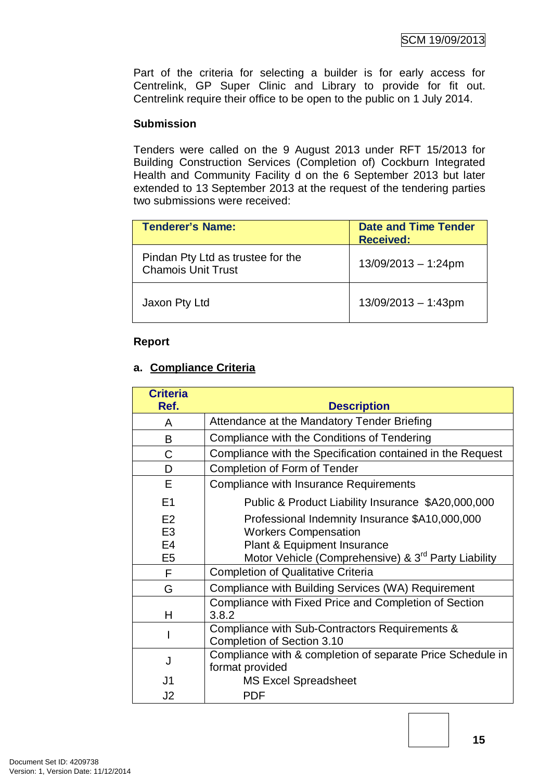Part of the criteria for selecting a builder is for early access for Centrelink, GP Super Clinic and Library to provide for fit out. Centrelink require their office to be open to the public on 1 July 2014.

### **Submission**

Tenders were called on the 9 August 2013 under RFT 15/2013 for Building Construction Services (Completion of) Cockburn Integrated Health and Community Facility d on the 6 September 2013 but later extended to 13 September 2013 at the request of the tendering parties two submissions were received:

| <b>Tenderer's Name:</b>                                        | <b>Date and Time Tender</b><br><b>Received:</b> |
|----------------------------------------------------------------|-------------------------------------------------|
| Pindan Pty Ltd as trustee for the<br><b>Chamois Unit Trust</b> | $13/09/2013 - 1:24pm$                           |
| Jaxon Pty Ltd                                                  | $13/09/2013 - 1:43$ pm                          |

#### **Report**

### **a. Compliance Criteria**

| <b>Criteria</b><br>Ref. | <b>Description</b>                                                            |
|-------------------------|-------------------------------------------------------------------------------|
| A                       | Attendance at the Mandatory Tender Briefing                                   |
| B                       | Compliance with the Conditions of Tendering                                   |
| C                       | Compliance with the Specification contained in the Request                    |
| D                       | Completion of Form of Tender                                                  |
| Е                       | Compliance with Insurance Requirements                                        |
| E1                      | Public & Product Liability Insurance \$A20,000,000                            |
| E2                      | Professional Indemnity Insurance \$A10,000,000                                |
| E <sub>3</sub>          | <b>Workers Compensation</b>                                                   |
| E4                      | <b>Plant &amp; Equipment Insurance</b>                                        |
| E <sub>5</sub>          | Motor Vehicle (Comprehensive) & 3 <sup>rd</sup> Party Liability               |
| F                       | <b>Completion of Qualitative Criteria</b>                                     |
| G                       | Compliance with Building Services (WA) Requirement                            |
| н                       | Compliance with Fixed Price and Completion of Section<br>3.8.2                |
|                         | Compliance with Sub-Contractors Requirements &<br>Completion of Section 3.10  |
| J                       | Compliance with & completion of separate Price Schedule in<br>format provided |
| J1                      | <b>MS Excel Spreadsheet</b>                                                   |
| J2                      | <b>PDF</b>                                                                    |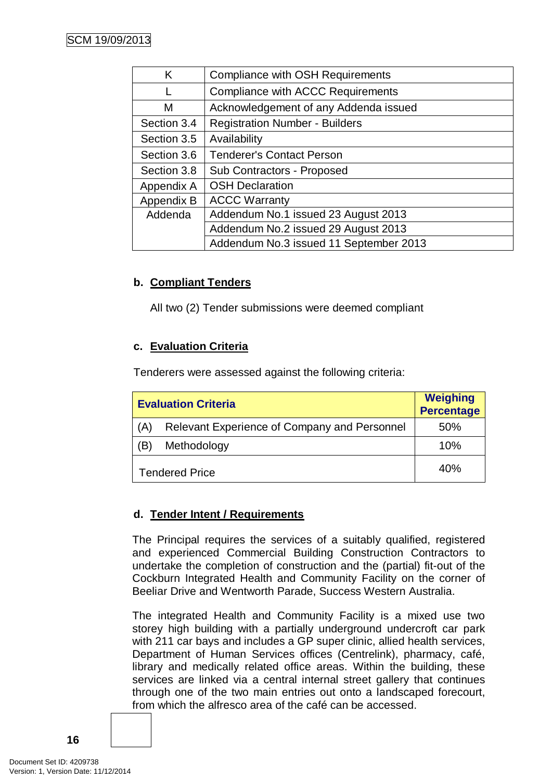| K           | Compliance with OSH Requirements         |  |
|-------------|------------------------------------------|--|
|             | <b>Compliance with ACCC Requirements</b> |  |
| м           | Acknowledgement of any Addenda issued    |  |
| Section 3.4 | <b>Registration Number - Builders</b>    |  |
| Section 3.5 | Availability                             |  |
| Section 3.6 | <b>Tenderer's Contact Person</b>         |  |
| Section 3.8 | <b>Sub Contractors - Proposed</b>        |  |
| Appendix A  | <b>OSH Declaration</b>                   |  |
| Appendix B  | <b>ACCC Warranty</b>                     |  |
| Addenda     | Addendum No.1 issued 23 August 2013      |  |
|             | Addendum No.2 issued 29 August 2013      |  |
|             | Addendum No.3 issued 11 September 2013   |  |

# **b. Compliant Tenders**

All two (2) Tender submissions were deemed compliant

### **c. Evaluation Criteria**

Tenderers were assessed against the following criteria:

| <b>Evaluation Criteria</b> | <b>Weighing</b><br><b>Percentage</b>         |     |
|----------------------------|----------------------------------------------|-----|
| (A)                        | Relevant Experience of Company and Personnel | 50% |
| Έ                          | Methodology                                  | 10% |
| <b>Tendered Price</b>      |                                              | 40% |

### **d. Tender Intent / Requirements**

The Principal requires the services of a suitably qualified, registered and experienced Commercial Building Construction Contractors to undertake the completion of construction and the (partial) fit-out of the Cockburn Integrated Health and Community Facility on the corner of Beeliar Drive and Wentworth Parade, Success Western Australia.

The integrated Health and Community Facility is a mixed use two storey high building with a partially underground undercroft car park with 211 car bays and includes a GP super clinic, allied health services, Department of Human Services offices (Centrelink), pharmacy, café, library and medically related office areas. Within the building, these services are linked via a central internal street gallery that continues through one of the two main entries out onto a landscaped forecourt, from which the alfresco area of the café can be accessed.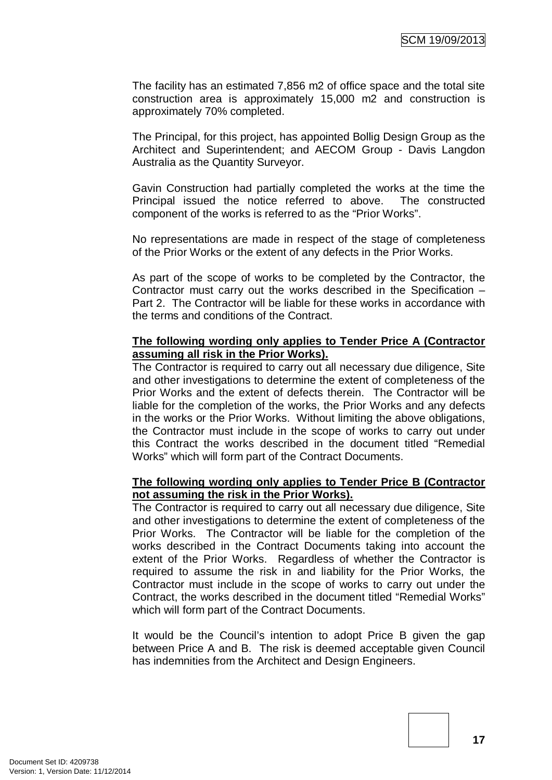The facility has an estimated 7,856 m2 of office space and the total site construction area is approximately 15,000 m2 and construction is approximately 70% completed.

The Principal, for this project, has appointed Bollig Design Group as the Architect and Superintendent; and AECOM Group - Davis Langdon Australia as the Quantity Surveyor.

Gavin Construction had partially completed the works at the time the Principal issued the notice referred to above. The constructed component of the works is referred to as the "Prior Works".

No representations are made in respect of the stage of completeness of the Prior Works or the extent of any defects in the Prior Works.

As part of the scope of works to be completed by the Contractor, the Contractor must carry out the works described in the Specification – Part 2. The Contractor will be liable for these works in accordance with the terms and conditions of the Contract.

### **The following wording only applies to Tender Price A (Contractor assuming all risk in the Prior Works).**

The Contractor is required to carry out all necessary due diligence, Site and other investigations to determine the extent of completeness of the Prior Works and the extent of defects therein. The Contractor will be liable for the completion of the works, the Prior Works and any defects in the works or the Prior Works. Without limiting the above obligations, the Contractor must include in the scope of works to carry out under this Contract the works described in the document titled "Remedial Works" which will form part of the Contract Documents.

### **The following wording only applies to Tender Price B (Contractor not assuming the risk in the Prior Works).**

The Contractor is required to carry out all necessary due diligence, Site and other investigations to determine the extent of completeness of the Prior Works. The Contractor will be liable for the completion of the works described in the Contract Documents taking into account the extent of the Prior Works. Regardless of whether the Contractor is required to assume the risk in and liability for the Prior Works, the Contractor must include in the scope of works to carry out under the Contract, the works described in the document titled "Remedial Works" which will form part of the Contract Documents.

It would be the Council's intention to adopt Price B given the gap between Price A and B. The risk is deemed acceptable given Council has indemnities from the Architect and Design Engineers.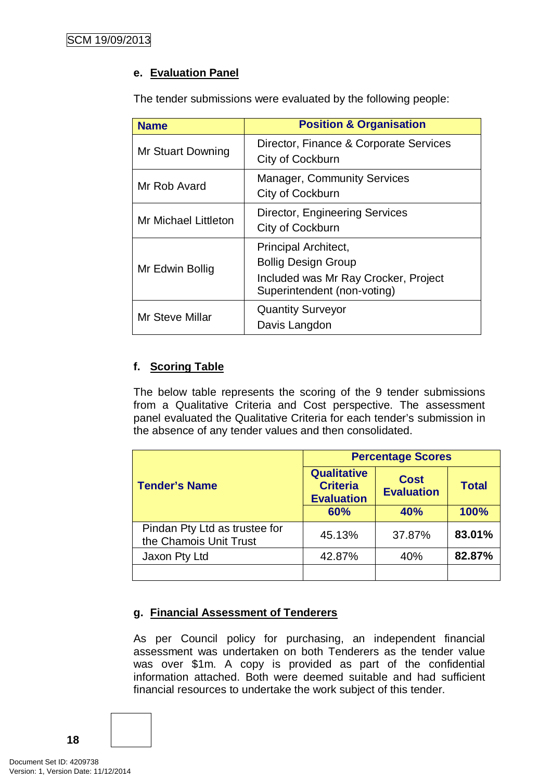# **e. Evaluation Panel**

The tender submissions were evaluated by the following people:

| <b>Name</b>          | <b>Position &amp; Organisation</b>                                                                                               |  |  |
|----------------------|----------------------------------------------------------------------------------------------------------------------------------|--|--|
| Mr Stuart Downing    | Director, Finance & Corporate Services<br>City of Cockburn                                                                       |  |  |
| Mr Rob Avard         | <b>Manager, Community Services</b><br>City of Cockburn                                                                           |  |  |
| Mr Michael Littleton | <b>Director, Engineering Services</b><br>City of Cockburn                                                                        |  |  |
| Mr Edwin Bollig      | <b>Principal Architect,</b><br><b>Bollig Design Group</b><br>Included was Mr Ray Crocker, Project<br>Superintendent (non-voting) |  |  |
| Mr Steve Millar      | <b>Quantity Surveyor</b><br>Davis Langdon                                                                                        |  |  |

# **f. Scoring Table**

The below table represents the scoring of the 9 tender submissions from a Qualitative Criteria and Cost perspective. The assessment panel evaluated the Qualitative Criteria for each tender's submission in the absence of any tender values and then consolidated.

|                                                         | <b>Percentage Scores</b>                                   |                                  |              |
|---------------------------------------------------------|------------------------------------------------------------|----------------------------------|--------------|
| <b>Tender's Name</b>                                    | <b>Qualitative</b><br><b>Criteria</b><br><b>Evaluation</b> | <b>Cost</b><br><b>Evaluation</b> | <b>Total</b> |
|                                                         | 60%                                                        | 40%                              | 100%         |
| Pindan Pty Ltd as trustee for<br>the Chamois Unit Trust | 45.13%                                                     | 37.87%                           | 83.01%       |
| Jaxon Pty Ltd                                           | 42.87%                                                     | 40%                              | 82.87%       |
|                                                         |                                                            |                                  |              |

# **g. Financial Assessment of Tenderers**

As per Council policy for purchasing, an independent financial assessment was undertaken on both Tenderers as the tender value was over \$1m. A copy is provided as part of the confidential information attached. Both were deemed suitable and had sufficient financial resources to undertake the work subject of this tender.

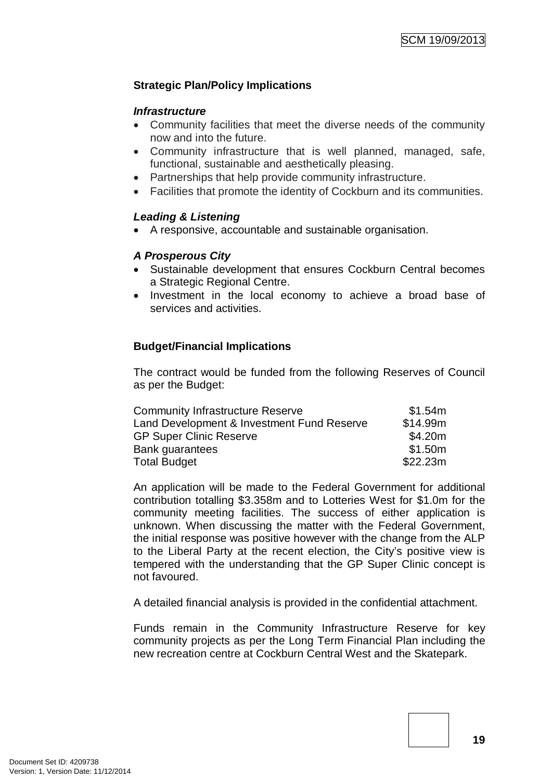# **Strategic Plan/Policy Implications**

### *Infrastructure*

- Community facilities that meet the diverse needs of the community now and into the future.
- Community infrastructure that is well planned, managed, safe, functional, sustainable and aesthetically pleasing.
- Partnerships that help provide community infrastructure.
- Facilities that promote the identity of Cockburn and its communities.

### *Leading & Listening*

• A responsive, accountable and sustainable organisation.

# *A Prosperous City*

- Sustainable development that ensures Cockburn Central becomes a Strategic Regional Centre.
- Investment in the local economy to achieve a broad base of services and activities.

# **Budget/Financial Implications**

The contract would be funded from the following Reserves of Council as per the Budget:

| <b>Community Infrastructure Reserve</b>    | \$1.54m  |
|--------------------------------------------|----------|
| Land Development & Investment Fund Reserve | \$14.99m |
| <b>GP Super Clinic Reserve</b>             | \$4.20m  |
| <b>Bank quarantees</b>                     | \$1.50m  |
| <b>Total Budget</b>                        | \$22.23m |

An application will be made to the Federal Government for additional contribution totalling \$3.358m and to Lotteries West for \$1.0m for the community meeting facilities. The success of either application is unknown. When discussing the matter with the Federal Government, the initial response was positive however with the change from the ALP to the Liberal Party at the recent election, the City's positive view is tempered with the understanding that the GP Super Clinic concept is not favoured.

A detailed financial analysis is provided in the confidential attachment.

Funds remain in the Community Infrastructure Reserve for key community projects as per the Long Term Financial Plan including the new recreation centre at Cockburn Central West and the Skatepark.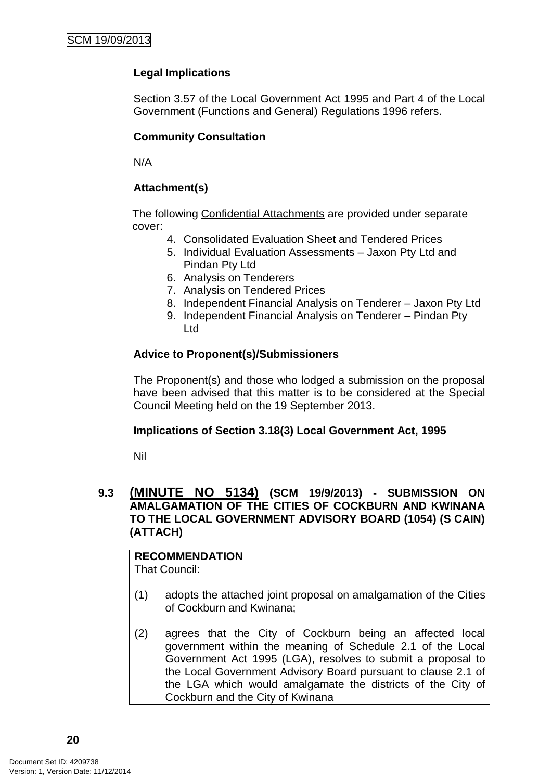# **Legal Implications**

Section 3.57 of the Local Government Act 1995 and Part 4 of the Local Government (Functions and General) Regulations 1996 refers.

# **Community Consultation**

N/A

# **Attachment(s)**

The following Confidential Attachments are provided under separate cover:

- 4. Consolidated Evaluation Sheet and Tendered Prices
- 5. Individual Evaluation Assessments Jaxon Pty Ltd and Pindan Pty Ltd
- 6. Analysis on Tenderers
- 7. Analysis on Tendered Prices
- 8. Independent Financial Analysis on Tenderer Jaxon Pty Ltd
- 9. Independent Financial Analysis on Tenderer Pindan Pty Ltd

# **Advice to Proponent(s)/Submissioners**

The Proponent(s) and those who lodged a submission on the proposal have been advised that this matter is to be considered at the Special Council Meeting held on the 19 September 2013.

### **Implications of Section 3.18(3) Local Government Act, 1995**

Nil

# **9.3 (MINUTE NO 5134) (SCM 19/9/2013) - SUBMISSION ON AMALGAMATION OF THE CITIES OF COCKBURN AND KWINANA TO THE LOCAL GOVERNMENT ADVISORY BOARD (1054) (S CAIN) (ATTACH)**

# **RECOMMENDATION**

That Council:

- (1) adopts the attached joint proposal on amalgamation of the Cities of Cockburn and Kwinana;
- (2) agrees that the City of Cockburn being an affected local government within the meaning of Schedule 2.1 of the Local Government Act 1995 (LGA), resolves to submit a proposal to the Local Government Advisory Board pursuant to clause 2.1 of the LGA which would amalgamate the districts of the City of Cockburn and the City of Kwinana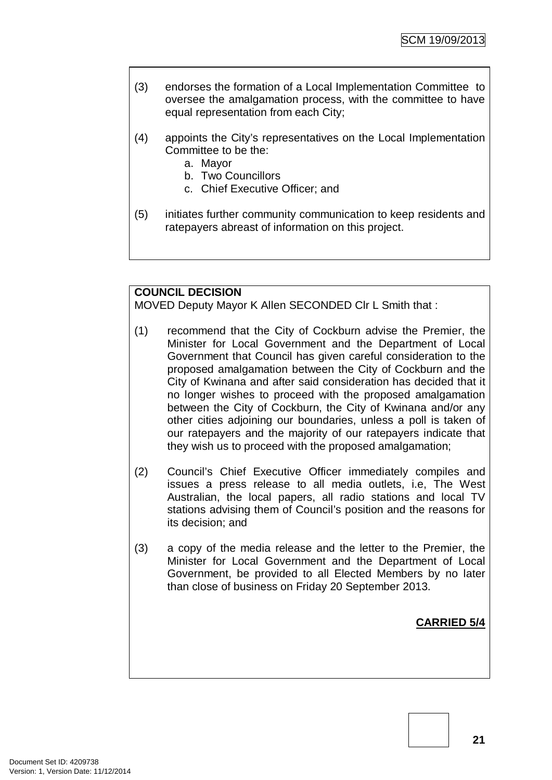- (3) endorses the formation of a Local Implementation Committee to oversee the amalgamation process, with the committee to have equal representation from each City;
- (4) appoints the City's representatives on the Local Implementation Committee to be the:
	- a. Mayor
	- b. Two Councillors
	- c. Chief Executive Officer; and
- (5) initiates further community communication to keep residents and ratepayers abreast of information on this project.

### **COUNCIL DECISION**

MOVED Deputy Mayor K Allen SECONDED Clr L Smith that :

- (1) recommend that the City of Cockburn advise the Premier, the Minister for Local Government and the Department of Local Government that Council has given careful consideration to the proposed amalgamation between the City of Cockburn and the City of Kwinana and after said consideration has decided that it no longer wishes to proceed with the proposed amalgamation between the City of Cockburn, the City of Kwinana and/or any other cities adjoining our boundaries, unless a poll is taken of our ratepayers and the majority of our ratepayers indicate that they wish us to proceed with the proposed amalgamation;
- (2) Council's Chief Executive Officer immediately compiles and issues a press release to all media outlets, i.e, The West Australian, the local papers, all radio stations and local TV stations advising them of Council's position and the reasons for its decision; and
- (3) a copy of the media release and the letter to the Premier, the Minister for Local Government and the Department of Local Government, be provided to all Elected Members by no later than close of business on Friday 20 September 2013.

**CARRIED 5/4**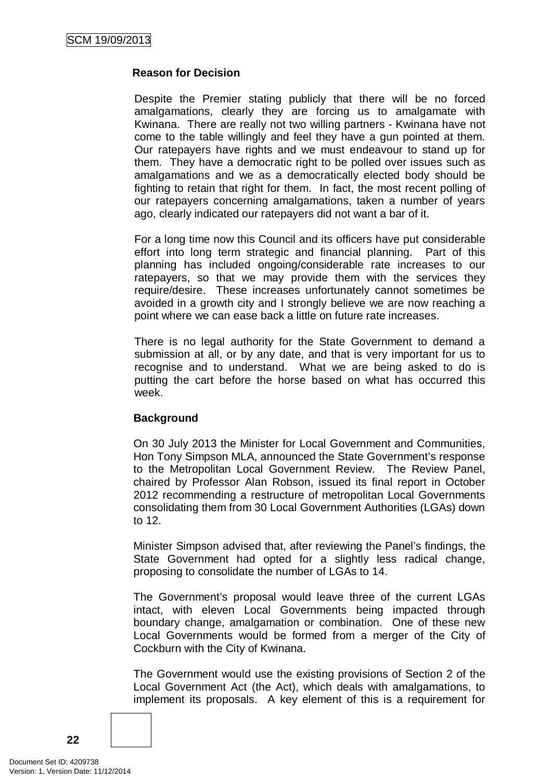### **Reason for Decision**

Despite the Premier stating publicly that there will be no forced amalgamations, clearly they are forcing us to amalgamate with Kwinana. There are really not two willing partners - Kwinana have not come to the table willingly and feel they have a gun pointed at them. Our ratepayers have rights and we must endeavour to stand up for them. They have a democratic right to be polled over issues such as amalgamations and we as a democratically elected body should be fighting to retain that right for them. In fact, the most recent polling of our ratepayers concerning amalgamations, taken a number of years ago, clearly indicated our ratepayers did not want a bar of it.

For a long time now this Council and its officers have put considerable effort into long term strategic and financial planning. Part of this planning has included ongoing/considerable rate increases to our ratepayers, so that we may provide them with the services they require/desire. These increases unfortunately cannot sometimes be avoided in a growth city and I strongly believe we are now reaching a point where we can ease back a little on future rate increases.

There is no legal authority for the State Government to demand a submission at all, or by any date, and that is very important for us to recognise and to understand. What we are being asked to do is putting the cart before the horse based on what has occurred this week.

### **Background**

On 30 July 2013 the Minister for Local Government and Communities, Hon Tony Simpson MLA, announced the State Government's response to the Metropolitan Local Government Review. The Review Panel, chaired by Professor Alan Robson, issued its final report in October 2012 recommending a restructure of metropolitan Local Governments consolidating them from 30 Local Government Authorities (LGAs) down to 12.

Minister Simpson advised that, after reviewing the Panel's findings, the State Government had opted for a slightly less radical change, proposing to consolidate the number of LGAs to 14.

The Government's proposal would leave three of the current LGAs intact, with eleven Local Governments being impacted through boundary change, amalgamation or combination. One of these new Local Governments would be formed from a merger of the City of Cockburn with the City of Kwinana.

The Government would use the existing provisions of Section 2 of the Local Government Act (the Act), which deals with amalgamations, to implement its proposals. A key element of this is a requirement for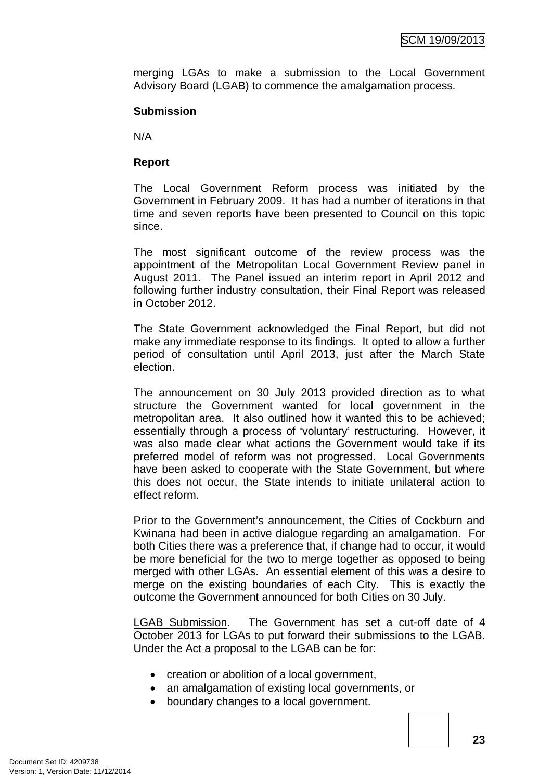merging LGAs to make a submission to the Local Government Advisory Board (LGAB) to commence the amalgamation process.

#### **Submission**

N/A

### **Report**

The Local Government Reform process was initiated by the Government in February 2009. It has had a number of iterations in that time and seven reports have been presented to Council on this topic since.

The most significant outcome of the review process was the appointment of the Metropolitan Local Government Review panel in August 2011. The Panel issued an interim report in April 2012 and following further industry consultation, their Final Report was released in October 2012.

The State Government acknowledged the Final Report, but did not make any immediate response to its findings. It opted to allow a further period of consultation until April 2013, just after the March State election.

The announcement on 30 July 2013 provided direction as to what structure the Government wanted for local government in the metropolitan area. It also outlined how it wanted this to be achieved; essentially through a process of 'voluntary' restructuring. However, it was also made clear what actions the Government would take if its preferred model of reform was not progressed. Local Governments have been asked to cooperate with the State Government, but where this does not occur, the State intends to initiate unilateral action to effect reform.

Prior to the Government's announcement, the Cities of Cockburn and Kwinana had been in active dialogue regarding an amalgamation. For both Cities there was a preference that, if change had to occur, it would be more beneficial for the two to merge together as opposed to being merged with other LGAs. An essential element of this was a desire to merge on the existing boundaries of each City. This is exactly the outcome the Government announced for both Cities on 30 July.

LGAB Submission. The Government has set a cut-off date of 4 October 2013 for LGAs to put forward their submissions to the LGAB. Under the Act a proposal to the LGAB can be for:

- creation or abolition of a local government,
- an amalgamation of existing local governments, or
- boundary changes to a local government.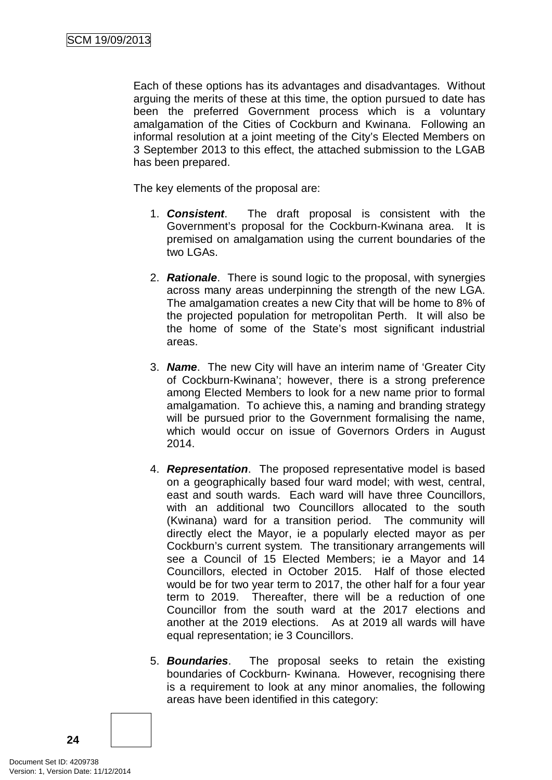Each of these options has its advantages and disadvantages. Without arguing the merits of these at this time, the option pursued to date has been the preferred Government process which is a voluntary amalgamation of the Cities of Cockburn and Kwinana. Following an informal resolution at a joint meeting of the City's Elected Members on 3 September 2013 to this effect, the attached submission to the LGAB has been prepared.

The key elements of the proposal are:

- 1. *Consistent*. The draft proposal is consistent with the Government's proposal for the Cockburn-Kwinana area. It is premised on amalgamation using the current boundaries of the two LGAs.
- 2. *Rationale*. There is sound logic to the proposal, with synergies across many areas underpinning the strength of the new LGA. The amalgamation creates a new City that will be home to 8% of the projected population for metropolitan Perth. It will also be the home of some of the State's most significant industrial areas.
- 3. *Name*. The new City will have an interim name of 'Greater City of Cockburn-Kwinana'; however, there is a strong preference among Elected Members to look for a new name prior to formal amalgamation. To achieve this, a naming and branding strategy will be pursued prior to the Government formalising the name, which would occur on issue of Governors Orders in August 2014.
- 4. *Representation*. The proposed representative model is based on a geographically based four ward model; with west, central, east and south wards. Each ward will have three Councillors, with an additional two Councillors allocated to the south (Kwinana) ward for a transition period. The community will directly elect the Mayor, ie a popularly elected mayor as per Cockburn's current system. The transitionary arrangements will see a Council of 15 Elected Members; ie a Mayor and 14 Councillors, elected in October 2015. Half of those elected would be for two year term to 2017, the other half for a four year term to 2019. Thereafter, there will be a reduction of one Councillor from the south ward at the 2017 elections and another at the 2019 elections. As at 2019 all wards will have equal representation; ie 3 Councillors.
- 5. *Boundaries*. The proposal seeks to retain the existing boundaries of Cockburn- Kwinana. However, recognising there is a requirement to look at any minor anomalies, the following areas have been identified in this category:

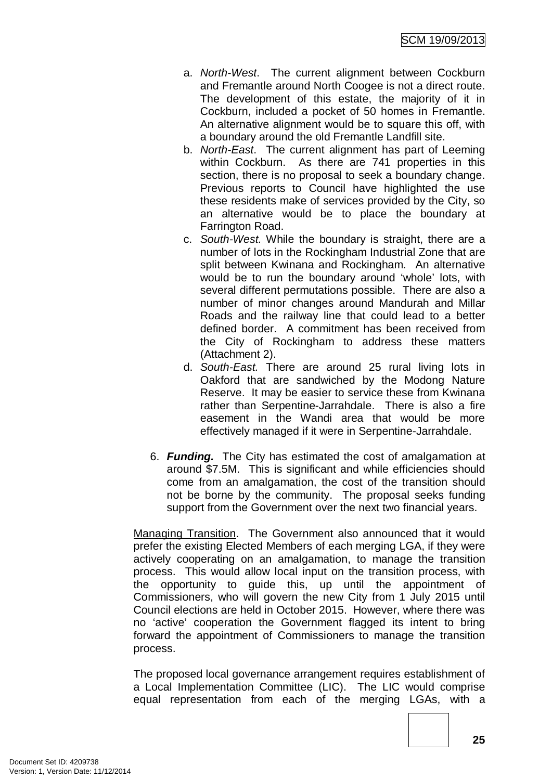- a. *North-West*. The current alignment between Cockburn and Fremantle around North Coogee is not a direct route. The development of this estate, the majority of it in Cockburn, included a pocket of 50 homes in Fremantle. An alternative alignment would be to square this off, with a boundary around the old Fremantle Landfill site.
- b. *North-East*. The current alignment has part of Leeming within Cockburn. As there are 741 properties in this section, there is no proposal to seek a boundary change. Previous reports to Council have highlighted the use these residents make of services provided by the City, so an alternative would be to place the boundary at Farrington Road.
- c. *South-West.* While the boundary is straight, there are a number of lots in the Rockingham Industrial Zone that are split between Kwinana and Rockingham. An alternative would be to run the boundary around 'whole' lots, with several different permutations possible. There are also a number of minor changes around Mandurah and Millar Roads and the railway line that could lead to a better defined border. A commitment has been received from the City of Rockingham to address these matters (Attachment 2).
- d. *South-East.* There are around 25 rural living lots in Oakford that are sandwiched by the Modong Nature Reserve. It may be easier to service these from Kwinana rather than Serpentine-Jarrahdale. There is also a fire easement in the Wandi area that would be more effectively managed if it were in Serpentine-Jarrahdale.
- 6. *Funding.* The City has estimated the cost of amalgamation at around \$7.5M. This is significant and while efficiencies should come from an amalgamation, the cost of the transition should not be borne by the community. The proposal seeks funding support from the Government over the next two financial years.

Managing Transition. The Government also announced that it would prefer the existing Elected Members of each merging LGA, if they were actively cooperating on an amalgamation, to manage the transition process. This would allow local input on the transition process, with the opportunity to guide this, up until the appointment of Commissioners, who will govern the new City from 1 July 2015 until Council elections are held in October 2015. However, where there was no 'active' cooperation the Government flagged its intent to bring forward the appointment of Commissioners to manage the transition process.

The proposed local governance arrangement requires establishment of a Local Implementation Committee (LIC). The LIC would comprise equal representation from each of the merging LGAs, with a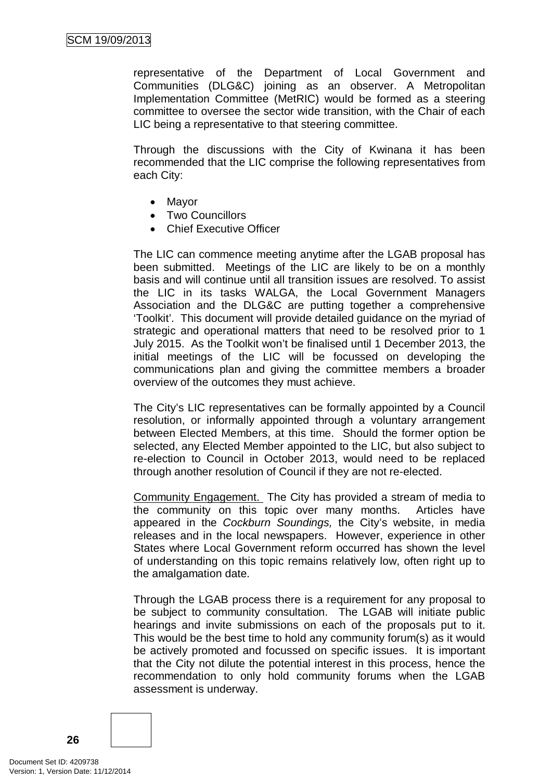representative of the Department of Local Government and Communities (DLG&C) joining as an observer. A Metropolitan Implementation Committee (MetRIC) would be formed as a steering committee to oversee the sector wide transition, with the Chair of each LIC being a representative to that steering committee.

Through the discussions with the City of Kwinana it has been recommended that the LIC comprise the following representatives from each City:

- Mayor
- Two Councillors
- Chief Executive Officer

The LIC can commence meeting anytime after the LGAB proposal has been submitted. Meetings of the LIC are likely to be on a monthly basis and will continue until all transition issues are resolved. To assist the LIC in its tasks WALGA, the Local Government Managers Association and the DLG&C are putting together a comprehensive 'Toolkit'. This document will provide detailed guidance on the myriad of strategic and operational matters that need to be resolved prior to 1 July 2015. As the Toolkit won't be finalised until 1 December 2013, the initial meetings of the LIC will be focussed on developing the communications plan and giving the committee members a broader overview of the outcomes they must achieve.

The City's LIC representatives can be formally appointed by a Council resolution, or informally appointed through a voluntary arrangement between Elected Members, at this time. Should the former option be selected, any Elected Member appointed to the LIC, but also subject to re-election to Council in October 2013, would need to be replaced through another resolution of Council if they are not re-elected.

Community Engagement. The City has provided a stream of media to the community on this topic over many months. Articles have appeared in the *Cockburn Soundings,* the City's website, in media releases and in the local newspapers. However, experience in other States where Local Government reform occurred has shown the level of understanding on this topic remains relatively low, often right up to the amalgamation date.

Through the LGAB process there is a requirement for any proposal to be subject to community consultation. The LGAB will initiate public hearings and invite submissions on each of the proposals put to it. This would be the best time to hold any community forum(s) as it would be actively promoted and focussed on specific issues. It is important that the City not dilute the potential interest in this process, hence the recommendation to only hold community forums when the LGAB assessment is underway.

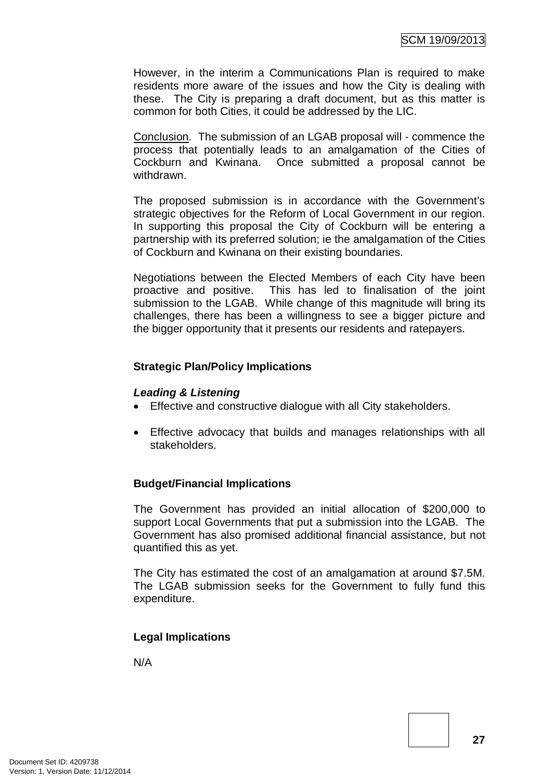However, in the interim a Communications Plan is required to make residents more aware of the issues and how the City is dealing with these. The City is preparing a draft document, but as this matter is common for both Cities, it could be addressed by the LIC.

Conclusion. The submission of an LGAB proposal will - commence the process that potentially leads to an amalgamation of the Cities of Cockburn and Kwinana. Once submitted a proposal cannot be withdrawn.

The proposed submission is in accordance with the Government's strategic objectives for the Reform of Local Government in our region. In supporting this proposal the City of Cockburn will be entering a partnership with its preferred solution; ie the amalgamation of the Cities of Cockburn and Kwinana on their existing boundaries.

Negotiations between the Elected Members of each City have been proactive and positive. This has led to finalisation of the joint submission to the LGAB. While change of this magnitude will bring its challenges, there has been a willingness to see a bigger picture and the bigger opportunity that it presents our residents and ratepayers.

# **Strategic Plan/Policy Implications**

### *Leading & Listening*

- Effective and constructive dialogue with all City stakeholders.
- Effective advocacy that builds and manages relationships with all stakeholders.

### **Budget/Financial Implications**

The Government has provided an initial allocation of \$200,000 to support Local Governments that put a submission into the LGAB. The Government has also promised additional financial assistance, but not quantified this as yet.

The City has estimated the cost of an amalgamation at around \$7.5M. The LGAB submission seeks for the Government to fully fund this expenditure.

### **Legal Implications**

N/A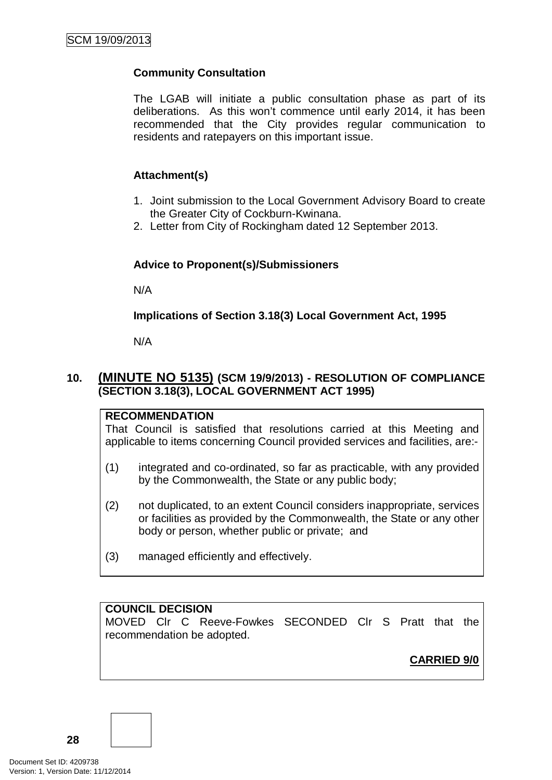# **Community Consultation**

The LGAB will initiate a public consultation phase as part of its deliberations. As this won't commence until early 2014, it has been recommended that the City provides regular communication to residents and ratepayers on this important issue.

# **Attachment(s)**

- 1. Joint submission to the Local Government Advisory Board to create the Greater City of Cockburn-Kwinana.
- 2. Letter from City of Rockingham dated 12 September 2013.

# **Advice to Proponent(s)/Submissioners**

N/A

# **Implications of Section 3.18(3) Local Government Act, 1995**

N/A

# **10. (MINUTE NO 5135) (SCM 19/9/2013) - RESOLUTION OF COMPLIANCE (SECTION 3.18(3), LOCAL GOVERNMENT ACT 1995)**

### **RECOMMENDATION**

That Council is satisfied that resolutions carried at this Meeting and applicable to items concerning Council provided services and facilities, are:-

- (1) integrated and co-ordinated, so far as practicable, with any provided by the Commonwealth, the State or any public body;
- (2) not duplicated, to an extent Council considers inappropriate, services or facilities as provided by the Commonwealth, the State or any other body or person, whether public or private; and
- (3) managed efficiently and effectively.

### **COUNCIL DECISION**

MOVED Clr C Reeve-Fowkes SECONDED Clr S Pratt that the recommendation be adopted.

**CARRIED 9/0**